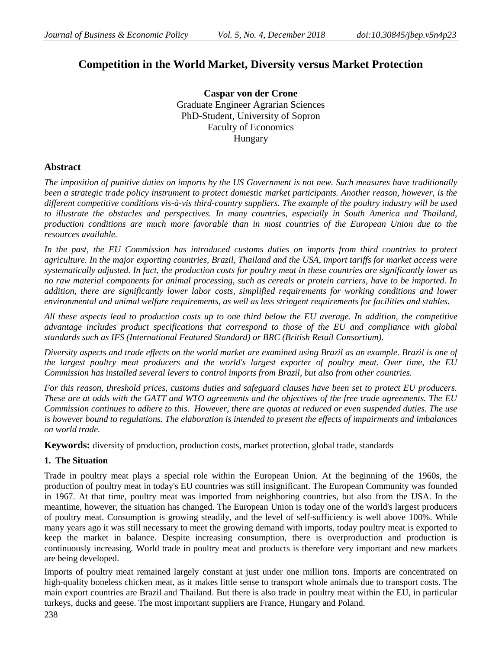# **Competition in the World Market, Diversity versus Market Protection**

**Caspar von der Crone** Graduate Engineer Agrarian Sciences PhD-Student, University of Sopron Faculty of Economics Hungary

## **Abstract**

*The imposition of punitive duties on imports by the US Government is not new. Such measures have traditionally been a strategic trade policy instrument to protect domestic market participants. Another reason, however, is the different competitive conditions vis-à-vis third-country suppliers. The example of the poultry industry will be used to illustrate the obstacles and perspectives. In many countries, especially in South America and Thailand, production conditions are much more favorable than in most countries of the European Union due to the resources available.*

*In the past, the EU Commission has introduced customs duties on imports from third countries to protect agriculture. In the major exporting countries, Brazil, Thailand and the USA, import tariffs for market access were systematically adjusted. In fact, the production costs for poultry meat in these countries are significantly lower as no raw material components for animal processing, such as cereals or protein carriers, have to be imported. In addition, there are significantly lower labor costs, simplified requirements for working conditions and lower environmental and animal welfare requirements, as well as less stringent requirements for facilities and stables.*

*All these aspects lead to production costs up to one third below the EU average. In addition, the competitive advantage includes product specifications that correspond to those of the EU and compliance with global standards such as IFS (International Featured Standard) or BRC (British Retail Consortium).*

*Diversity aspects and trade effects on the world market are examined using Brazil as an example. Brazil is one of the largest poultry meat producers and the world's largest exporter of poultry meat. Over time, the EU Commission has installed several levers to control imports from Brazil, but also from other countries.* 

*For this reason, threshold prices, customs duties and safeguard clauses have been set to protect EU producers. These are at odds with the GATT and WTO agreements and the objectives of the free trade agreements. The EU Commission continues to adhere to this. However, there are quotas at reduced or even suspended duties. The use is however bound to regulations. The elaboration is intended to present the effects of impairments and imbalances on world trade.*

**Keywords:** diversity of production, production costs, market protection, global trade, standards

## **1. The Situation**

Trade in poultry meat plays a special role within the European Union. At the beginning of the 1960s, the production of poultry meat in today's EU countries was still insignificant. The European Community was founded in 1967. At that time, poultry meat was imported from neighboring countries, but also from the USA. In the meantime, however, the situation has changed. The European Union is today one of the world's largest producers of poultry meat. Consumption is growing steadily, and the level of self-sufficiency is well above 100%. While many years ago it was still necessary to meet the growing demand with imports, today poultry meat is exported to keep the market in balance. Despite increasing consumption, there is overproduction and production is continuously increasing. World trade in poultry meat and products is therefore very important and new markets are being developed.

Imports of poultry meat remained largely constant at just under one million tons. Imports are concentrated on high-quality boneless chicken meat, as it makes little sense to transport whole animals due to transport costs. The main export countries are Brazil and Thailand. But there is also trade in poultry meat within the EU, in particular turkeys, ducks and geese. The most important suppliers are France, Hungary and Poland.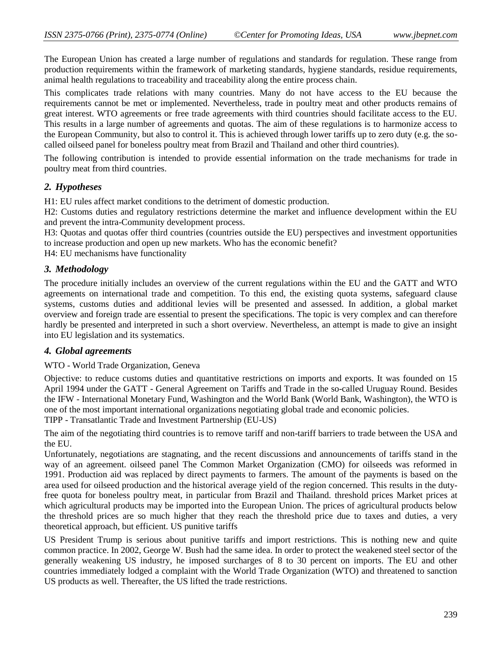The European Union has created a large number of regulations and standards for regulation. These range from production requirements within the framework of marketing standards, hygiene standards, residue requirements, animal health regulations to traceability and traceability along the entire process chain.

This complicates trade relations with many countries. Many do not have access to the EU because the requirements cannot be met or implemented. Nevertheless, trade in poultry meat and other products remains of great interest. WTO agreements or free trade agreements with third countries should facilitate access to the EU. This results in a large number of agreements and quotas. The aim of these regulations is to harmonize access to the European Community, but also to control it. This is achieved through lower tariffs up to zero duty (e.g. the socalled oilseed panel for boneless poultry meat from Brazil and Thailand and other third countries).

The following contribution is intended to provide essential information on the trade mechanisms for trade in poultry meat from third countries.

### *2. Hypotheses*

H1: EU rules affect market conditions to the detriment of domestic production.

H2: Customs duties and regulatory restrictions determine the market and influence development within the EU and prevent the intra-Community development process.

H3: Quotas and quotas offer third countries (countries outside the EU) perspectives and investment opportunities to increase production and open up new markets. Who has the economic benefit?

H4: EU mechanisms have functionality

#### *3. Methodology*

The procedure initially includes an overview of the current regulations within the EU and the GATT and WTO agreements on international trade and competition. To this end, the existing quota systems, safeguard clause systems, customs duties and additional levies will be presented and assessed. In addition, a global market overview and foreign trade are essential to present the specifications. The topic is very complex and can therefore hardly be presented and interpreted in such a short overview. Nevertheless, an attempt is made to give an insight into EU legislation and its systematics.

#### *4. Global agreements*

WTO - World Trade Organization, Geneva

Objective: to reduce customs duties and quantitative restrictions on imports and exports. It was founded on 15 April 1994 under the GATT - General Agreement on Tariffs and Trade in the so-called Uruguay Round. Besides the IFW - International Monetary Fund, Washington and the World Bank (World Bank, Washington), the WTO is one of the most important international organizations negotiating global trade and economic policies.

TIPP - Transatlantic Trade and Investment Partnership (EU-US)

The aim of the negotiating third countries is to remove tariff and non-tariff barriers to trade between the USA and the EU.

Unfortunately, negotiations are stagnating, and the recent discussions and announcements of tariffs stand in the way of an agreement. oilseed panel The Common Market Organization (CMO) for oilseeds was reformed in 1991. Production aid was replaced by direct payments to farmers. The amount of the payments is based on the area used for oilseed production and the historical average yield of the region concerned. This results in the dutyfree quota for boneless poultry meat, in particular from Brazil and Thailand. threshold prices Market prices at which agricultural products may be imported into the European Union. The prices of agricultural products below the threshold prices are so much higher that they reach the threshold price due to taxes and duties, a very theoretical approach, but efficient. US punitive tariffs

US President Trump is serious about punitive tariffs and import restrictions. This is nothing new and quite common practice. In 2002, George W. Bush had the same idea. In order to protect the weakened steel sector of the generally weakening US industry, he imposed surcharges of 8 to 30 percent on imports. The EU and other countries immediately lodged a complaint with the World Trade Organization (WTO) and threatened to sanction US products as well. Thereafter, the US lifted the trade restrictions.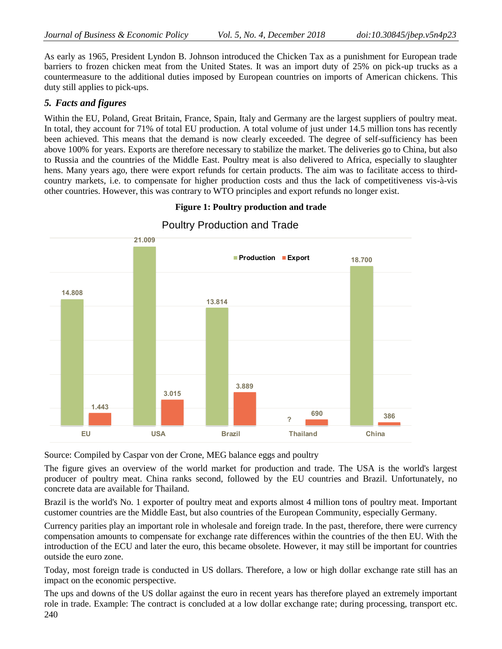As early as 1965, President Lyndon B. Johnson introduced the Chicken Tax as a punishment for European trade barriers to frozen chicken meat from the United States. It was an import duty of 25% on pick-up trucks as a countermeasure to the additional duties imposed by European countries on imports of American chickens. This duty still applies to pick-ups.

### *5. Facts and figures*

Within the EU, Poland, Great Britain, France, Spain, Italy and Germany are the largest suppliers of poultry meat. In total, they account for 71% of total EU production. A total volume of just under 14.5 million tons has recently been achieved. This means that the demand is now clearly exceeded. The degree of self-sufficiency has been above 100% for years. Exports are therefore necessary to stabilize the market. The deliveries go to China, but also to Russia and the countries of the Middle East. Poultry meat is also delivered to Africa, especially to slaughter hens. Many years ago, there were export refunds for certain products. The aim was to facilitate access to thirdcountry markets, i.e. to compensate for higher production costs and thus the lack of competitiveness vis-à-vis other countries. However, this was contrary to WTO principles and export refunds no longer exist.



### **Figure 1: Poultry production and trade**

Poultry Production and Trade

Source: Compiled by Caspar von der Crone, MEG balance eggs and poultry

The figure gives an overview of the world market for production and trade. The USA is the world's largest producer of poultry meat. China ranks second, followed by the EU countries and Brazil. Unfortunately, no concrete data are available for Thailand.

Brazil is the world's No. 1 exporter of poultry meat and exports almost 4 million tons of poultry meat. Important customer countries are the Middle East, but also countries of the European Community, especially Germany.

Currency parities play an important role in wholesale and foreign trade. In the past, therefore, there were currency compensation amounts to compensate for exchange rate differences within the countries of the then EU. With the introduction of the ECU and later the euro, this became obsolete. However, it may still be important for countries outside the euro zone.

Today, most foreign trade is conducted in US dollars. Therefore, a low or high dollar exchange rate still has an impact on the economic perspective.

240 The ups and downs of the US dollar against the euro in recent years has therefore played an extremely important role in trade. Example: The contract is concluded at a low dollar exchange rate; during processing, transport etc.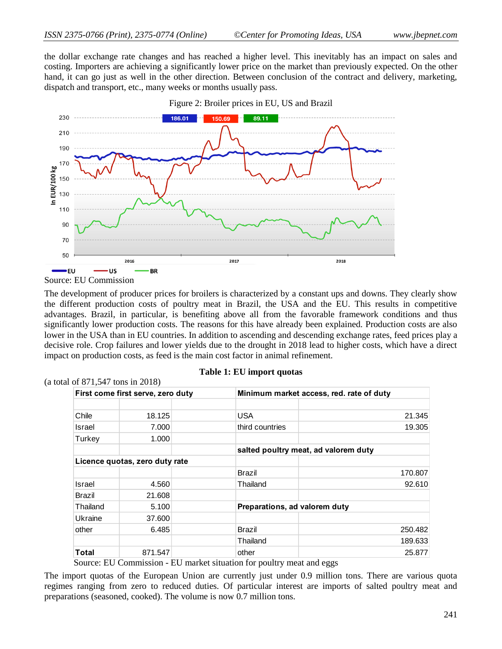the dollar exchange rate changes and has reached a higher level. This inevitably has an impact on sales and costing. Importers are achieving a significantly lower price on the market than previously expected. On the other hand, it can go just as well in the other direction. Between conclusion of the contract and delivery, marketing, dispatch and transport, etc., many weeks or months usually pass.





Source: EU Commission

The development of producer prices for broilers is characterized by a constant ups and downs. They clearly show the different production costs of poultry meat in Brazil, the USA and the EU. This results in competitive advantages. Brazil, in particular, is benefiting above all from the favorable framework conditions and thus significantly lower production costs. The reasons for this have already been explained. Production costs are also lower in the USA than in EU countries. In addition to ascending and descending exchange rates, feed prices play a decisive role. Crop failures and lower yields due to the drought in 2018 lead to higher costs, which have a direct impact on production costs, as feed is the main cost factor in animal refinement.

| (a total of $871,547$ tons in 2018) |                                   |                                          |         |
|-------------------------------------|-----------------------------------|------------------------------------------|---------|
|                                     | First come first serve, zero duty | Minimum market access, red. rate of duty |         |
|                                     |                                   |                                          |         |
| Chile                               | 18.125                            | <b>USA</b>                               | 21.345  |
| Israel                              | 7.000                             | third countries                          | 19.305  |
| Turkey                              | 1.000                             |                                          |         |
|                                     |                                   | salted poultry meat, ad valorem duty     |         |
|                                     | Licence quotas, zero duty rate    |                                          |         |
|                                     |                                   | Brazil                                   | 170.807 |
| Israel                              | 4.560                             | Thailand                                 | 92.610  |
| Brazil                              | 21.608                            |                                          |         |
| Thailand                            | 5.100                             | Preparations, ad valorem duty            |         |
| Ukraine                             | 37,600                            |                                          |         |
| other                               | 6.485                             | <b>Brazil</b>                            | 250.482 |
|                                     |                                   | Thailand                                 | 189.633 |
| Total                               | 871.547                           | other                                    | 25.877  |

| Table 1: EU import quotas |  |  |  |
|---------------------------|--|--|--|
|---------------------------|--|--|--|

Source: EU Commission - EU market situation for poultry meat and eggs

The import quotas of the European Union are currently just under 0.9 million tons. There are various quota regimes ranging from zero to reduced duties. Of particular interest are imports of salted poultry meat and preparations (seasoned, cooked). The volume is now 0.7 million tons.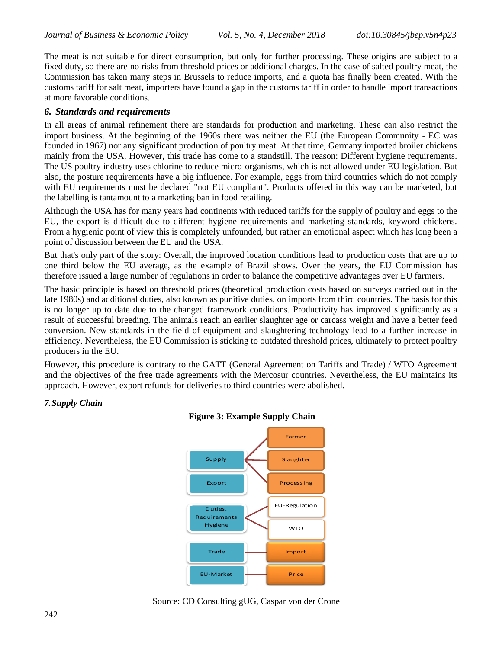The meat is not suitable for direct consumption, but only for further processing. These origins are subject to a fixed duty, so there are no risks from threshold prices or additional charges. In the case of salted poultry meat, the Commission has taken many steps in Brussels to reduce imports, and a quota has finally been created. With the customs tariff for salt meat, importers have found a gap in the customs tariff in order to handle import transactions at more favorable conditions.

# *6. Standards and requirements*

In all areas of animal refinement there are standards for production and marketing. These can also restrict the import business. At the beginning of the 1960s there was neither the EU (the European Community - EC was founded in 1967) nor any significant production of poultry meat. At that time, Germany imported broiler chickens mainly from the USA. However, this trade has come to a standstill. The reason: Different hygiene requirements. The US poultry industry uses chlorine to reduce micro-organisms, which is not allowed under EU legislation. But also, the posture requirements have a big influence. For example, eggs from third countries which do not comply with EU requirements must be declared "not EU compliant". Products offered in this way can be marketed, but the labelling is tantamount to a marketing ban in food retailing.

Although the USA has for many years had continents with reduced tariffs for the supply of poultry and eggs to the EU, the export is difficult due to different hygiene requirements and marketing standards, keyword chickens. From a hygienic point of view this is completely unfounded, but rather an emotional aspect which has long been a point of discussion between the EU and the USA.

But that's only part of the story: Overall, the improved location conditions lead to production costs that are up to one third below the EU average, as the example of Brazil shows. Over the years, the EU Commission has therefore issued a large number of regulations in order to balance the competitive advantages over EU farmers.

The basic principle is based on threshold prices (theoretical production costs based on surveys carried out in the late 1980s) and additional duties, also known as punitive duties, on imports from third countries. The basis for this is no longer up to date due to the changed framework conditions. Productivity has improved significantly as a result of successful breeding. The animals reach an earlier slaughter age or carcass weight and have a better feed conversion. New standards in the field of equipment and slaughtering technology lead to a further increase in efficiency. Nevertheless, the EU Commission is sticking to outdated threshold prices, ultimately to protect poultry producers in the EU.

However, this procedure is contrary to the GATT (General Agreement on Tariffs and Trade) / WTO Agreement and the objectives of the free trade agreements with the Mercosur countries. Nevertheless, the EU maintains its approach. However, export refunds for deliveries to third countries were abolished.

# *7.Supply Chain*



**Figure 3: Example Supply Chain**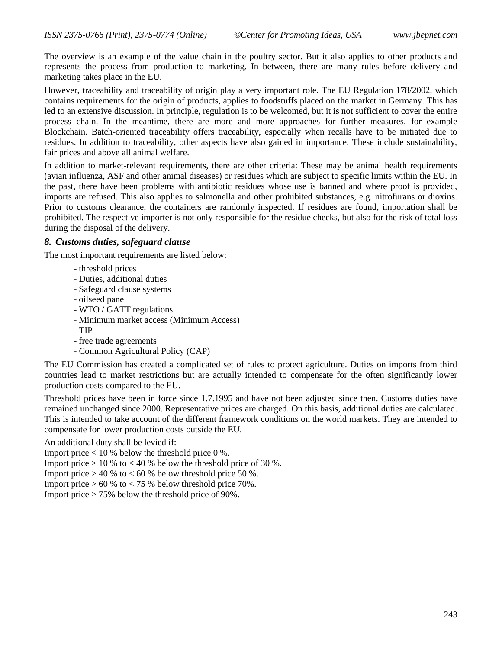The overview is an example of the value chain in the poultry sector. But it also applies to other products and represents the process from production to marketing. In between, there are many rules before delivery and marketing takes place in the EU.

However, traceability and traceability of origin play a very important role. The EU Regulation 178/2002, which contains requirements for the origin of products, applies to foodstuffs placed on the market in Germany. This has led to an extensive discussion. In principle, regulation is to be welcomed, but it is not sufficient to cover the entire process chain. In the meantime, there are more and more approaches for further measures, for example Blockchain. Batch-oriented traceability offers traceability, especially when recalls have to be initiated due to residues. In addition to traceability, other aspects have also gained in importance. These include sustainability, fair prices and above all animal welfare.

In addition to market-relevant requirements, there are other criteria: These may be animal health requirements (avian influenza, ASF and other animal diseases) or residues which are subject to specific limits within the EU. In the past, there have been problems with antibiotic residues whose use is banned and where proof is provided, imports are refused. This also applies to salmonella and other prohibited substances, e.g. nitrofurans or dioxins. Prior to customs clearance, the containers are randomly inspected. If residues are found, importation shall be prohibited. The respective importer is not only responsible for the residue checks, but also for the risk of total loss during the disposal of the delivery.

### *8. Customs duties, safeguard clause*

The most important requirements are listed below:

- threshold prices
- Duties, additional duties
- Safeguard clause systems
- oilseed panel
- WTO / GATT regulations
- Minimum market access (Minimum Access)
- TIP
- free trade agreements
- Common Agricultural Policy (CAP)

The EU Commission has created a complicated set of rules to protect agriculture. Duties on imports from third countries lead to market restrictions but are actually intended to compensate for the often significantly lower production costs compared to the EU.

Threshold prices have been in force since 1.7.1995 and have not been adjusted since then. Customs duties have remained unchanged since 2000. Representative prices are charged. On this basis, additional duties are calculated. This is intended to take account of the different framework conditions on the world markets. They are intended to compensate for lower production costs outside the EU.

An additional duty shall be levied if:

Import price  $< 10 %$  below the threshold price 0%.

Import price  $> 10 %$  to  $< 40 %$  below the threshold price of 30 %.

Import price  $> 40 %$  to  $< 60 %$  below threshold price 50 %.

Import price  $> 60\%$  to  $< 75\%$  below threshold price 70%.

Import price > 75% below the threshold price of 90%.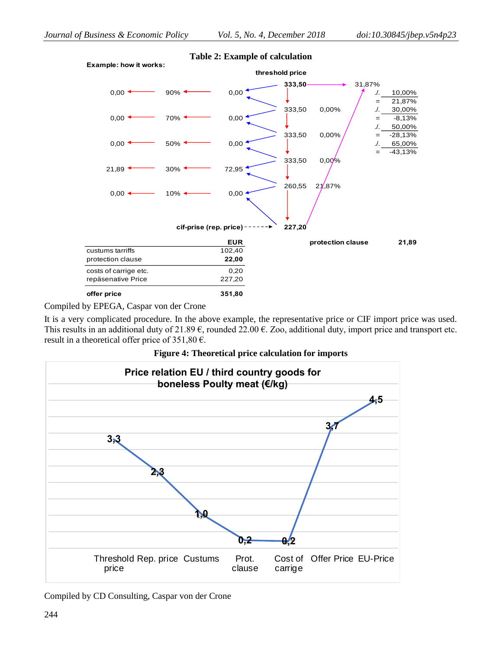

#### **Table 2: Example of calculation**

Compiled by EPEGA, Caspar von der Crone

It is a very complicated procedure. In the above example, the representative price or CIF import price was used. This results in an additional duty of 21.89  $\epsilon$ , rounded 22.00  $\epsilon$ . Zoo, additional duty, import price and transport etc. result in a theoretical offer price of 351,80  $\epsilon$ .

**Figure 4: Theoretical price calculation for imports**



Compiled by CD Consulting, Caspar von der Crone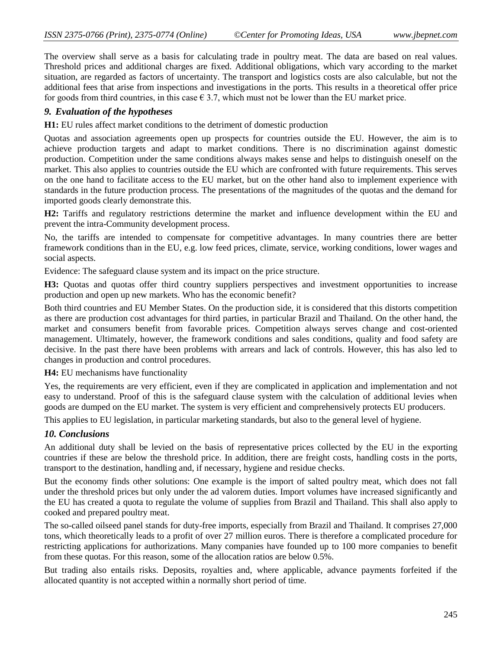The overview shall serve as a basis for calculating trade in poultry meat. The data are based on real values. Threshold prices and additional charges are fixed. Additional obligations, which vary according to the market situation, are regarded as factors of uncertainty. The transport and logistics costs are also calculable, but not the additional fees that arise from inspections and investigations in the ports. This results in a theoretical offer price for goods from third countries, in this case  $\epsilon$  3.7, which must not be lower than the EU market price.

### *9. Evaluation of the hypotheses*

**H1:** EU rules affect market conditions to the detriment of domestic production

Quotas and association agreements open up prospects for countries outside the EU. However, the aim is to achieve production targets and adapt to market conditions. There is no discrimination against domestic production. Competition under the same conditions always makes sense and helps to distinguish oneself on the market. This also applies to countries outside the EU which are confronted with future requirements. This serves on the one hand to facilitate access to the EU market, but on the other hand also to implement experience with standards in the future production process. The presentations of the magnitudes of the quotas and the demand for imported goods clearly demonstrate this.

**H2:** Tariffs and regulatory restrictions determine the market and influence development within the EU and prevent the intra-Community development process.

No, the tariffs are intended to compensate for competitive advantages. In many countries there are better framework conditions than in the EU, e.g. low feed prices, climate, service, working conditions, lower wages and social aspects.

Evidence: The safeguard clause system and its impact on the price structure.

**H3:** Quotas and quotas offer third country suppliers perspectives and investment opportunities to increase production and open up new markets. Who has the economic benefit?

Both third countries and EU Member States. On the production side, it is considered that this distorts competition as there are production cost advantages for third parties, in particular Brazil and Thailand. On the other hand, the market and consumers benefit from favorable prices. Competition always serves change and cost-oriented management. Ultimately, however, the framework conditions and sales conditions, quality and food safety are decisive. In the past there have been problems with arrears and lack of controls. However, this has also led to changes in production and control procedures.

**H4:** EU mechanisms have functionality

Yes, the requirements are very efficient, even if they are complicated in application and implementation and not easy to understand. Proof of this is the safeguard clause system with the calculation of additional levies when goods are dumped on the EU market. The system is very efficient and comprehensively protects EU producers.

This applies to EU legislation, in particular marketing standards, but also to the general level of hygiene.

### *10. Conclusions*

An additional duty shall be levied on the basis of representative prices collected by the EU in the exporting countries if these are below the threshold price. In addition, there are freight costs, handling costs in the ports, transport to the destination, handling and, if necessary, hygiene and residue checks.

But the economy finds other solutions: One example is the import of salted poultry meat, which does not fall under the threshold prices but only under the ad valorem duties. Import volumes have increased significantly and the EU has created a quota to regulate the volume of supplies from Brazil and Thailand. This shall also apply to cooked and prepared poultry meat.

The so-called oilseed panel stands for duty-free imports, especially from Brazil and Thailand. It comprises 27,000 tons, which theoretically leads to a profit of over 27 million euros. There is therefore a complicated procedure for restricting applications for authorizations. Many companies have founded up to 100 more companies to benefit from these quotas. For this reason, some of the allocation ratios are below 0.5%.

But trading also entails risks. Deposits, royalties and, where applicable, advance payments forfeited if the allocated quantity is not accepted within a normally short period of time.